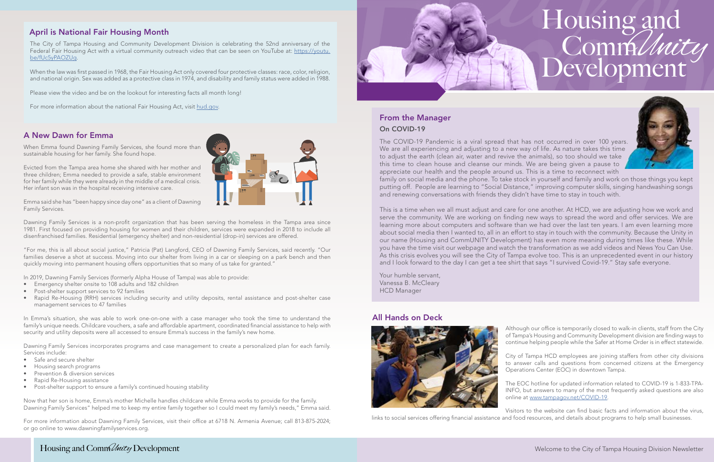## Housing and Development CommUnity



#### A New Dawn for Emma

When Emma found Dawning Family Services, she found more than sustainable housing for her family. She found hope.

Evicted from the Tampa area home she shared with her mother and three children; Emma needed to provide a safe, stable environment for her family while they were already in the middle of a medical crisis. Her infant son was in the hospital receiving intensive care.

Emma said she has "been happy since day one" as a client of Dawning Family Services.

Dawning Family Services is a non-proft organization that has been serving the homeless in the Tampa area since 1981. First focused on providing housing for women and their children, services were expanded in 2018 to include all disenfranchised families. Residential (emergency shelter) and non-residential (drop-in) services are offered.

"For me, this is all about social justice," Patricia (Pat) Langford, CEO of Dawning Family Services, said recently. "Our families deserve a shot at success. Moving into our shelter from living in a car or sleeping on a park bench and then quickly moving into permanent housing offers opportunities that so many of us take for granted."

and renewing conversations with friends they didn't have time to stay in touch with. The COVID-19 Pandemic is a viral spread that has not occurred in over 100 years. We are all experiencing and adjusting to a new way of life. As nature takes this time to adjust the earth (clean air, water and revive the animals), so too should we take this time to clean house and cleanse our minds. We are being given a pause to appreciate our health and the people around us. This is a time to reconnect with family on social media and the phone. To take stock in yourself and family and work on those things you kept putting off. People are learning to "Social Distance," improving computer skills, singing handwashing songs

In 2019, Dawning Family Services (formerly Alpha House of Tampa) was able to provide:

- Emergency shelter onsite to 108 adults and 182 children
- Post-shelter support services to 92 families
- Rapid Re-Housing (RRH) services including security and utility deposits, rental assistance and post-shelter case management services to 47 families

In Emma's situation, she was able to work one-on-one with a case manager who took the time to understand the **All Hands on Deck** Family's unique needs. Childcare vouchers, a safe and affordable apartment, coordinated financial assistance to help with<br>Security and utility deposits were all accessed to ensure Emma's success in the family's new home.<br>T

Dawning Family Services incorporates programs and case management to create a personalized plan for each family.

- 
- 
- 
- 
- 

Now that her son is home, Emma's mother Michelle handles childcare while Emma works to provide for the family. COVID-19. Now that her son is home, Emma's mother Michelle handles childcare while Emma works to provide for th Dawning Family Services" helped me to keep my entire family together so I could meet my family's needs," Emma said. Visitors to the website can find basic facts and information about the virus,

This is a time when we all must adjust and care for one another. At HCD, we are adjusting how we work and serve the community. We are working on fnding new ways to spread the word and offer services. We are learning more about computers and software than we had over the last ten years. I am even learning more about social media then I wanted to, all in an effort to stay in touch with the community. Because the Unity in our name (Housing and CommUNITY Development) has even more meaning during times like these. While you have the time visit our webpage and watch the transformation as we add videos and News You Can Use. As this crisis evolves you will see the City of Tampa evolve too. This is an unprecedented event in our history and I look forward to the day I can get a tee shirt that says "I survived Covid-19." Stay safe everyone.

#### April is National Fair Housing Month

When the law was first passed in 1968, the Fair Housing Act only covered four protective classes: race, color, religion, and national origin. Sex was added as a protective class in 1974, and disability and family status were added in 1988.

### On COVID-19 From the Manager

For more information about Dawning Family Services, visit their office at 6718 N. Armenia Avenue; call 813-875-2024; links to social services offering financial assistance and food resources, and details about programs to or go online to [www.dawningfamilyservices.org.](http://www.dawningfamilyservices.org. ) 



Your humble servant, Vanessa B. McCleary HCD Manager



Services include:<br>• Safe and secure shelter<br>• Housing search programs<br>• Prevention & diversion services<br>• Prevention & diversion services

• Rapid Re-Housing assistance The EOC hotline for updated information related to COVID-19 is 1-833-TPA-<br>• Post-shelter support to ensure a family's continued housing stability and the Second State of the Second State of th



The City of Tampa Housing and Community Development Division is celebrating the 52nd anniversary of the Federal Fair Housing Act with a virtual community outreach video that can be seen on YouTube at: [https://youtu.](https://youtu.be/fUc5yPAOZUg) [be/fUc5yPAOZUg](https://youtu.be/fUc5yPAOZUg).

Please view the video and be on the lookout for interesting facts all month long!

For more information about the national Fair Housing Act, visit [hud.gov.](http://hud.gov)